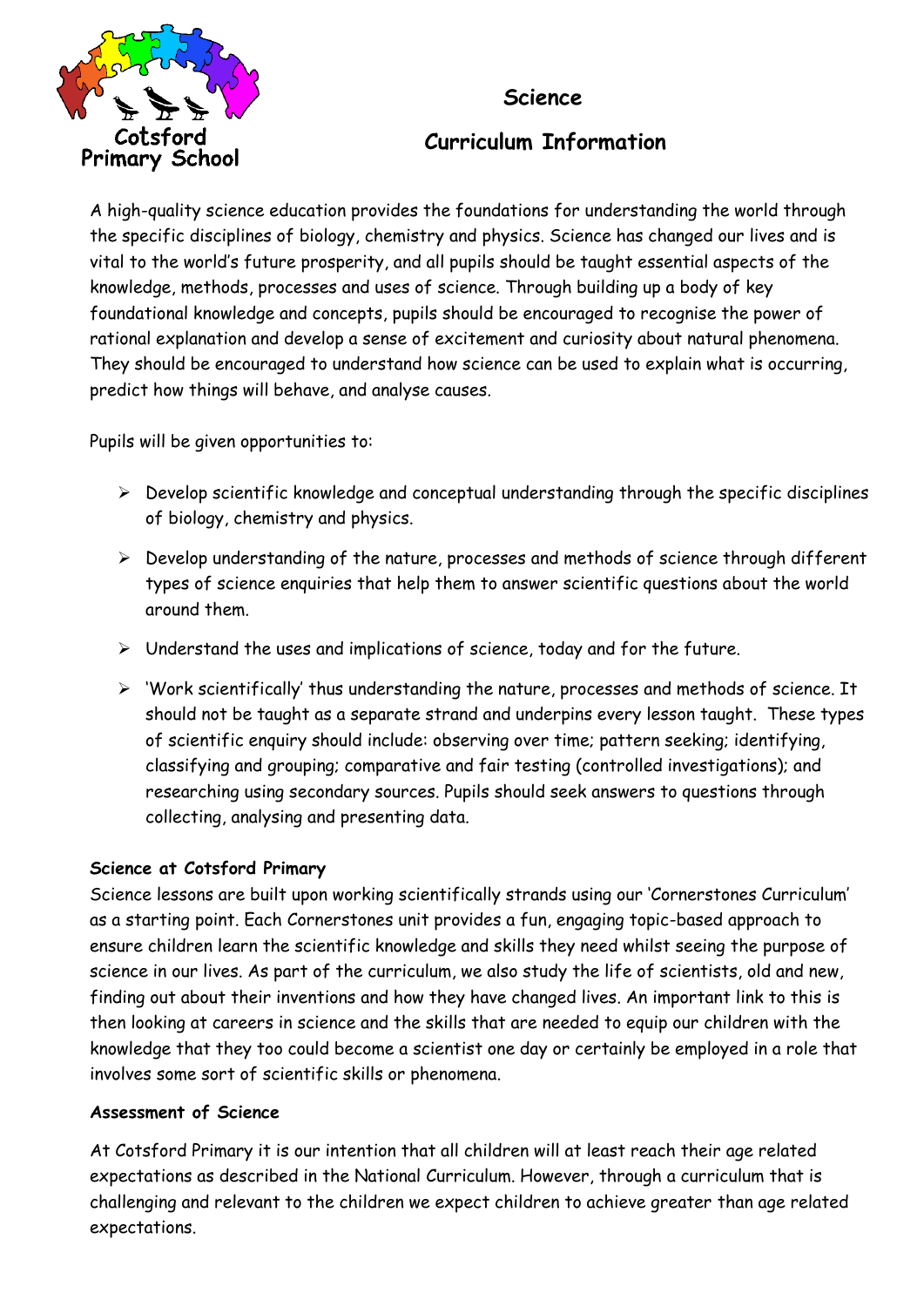## **Science**



# **Curriculum Information**

A high-quality science education provides the foundations for understanding the world through the specific disciplines of biology, chemistry and physics. Science has changed our lives and is vital to the world's future prosperity, and all pupils should be taught essential aspects of the knowledge, methods, processes and uses of science. Through building up a body of key foundational knowledge and concepts, pupils should be encouraged to recognise the power of rational explanation and develop a sense of excitement and curiosity about natural phenomena. They should be encouraged to understand how science can be used to explain what is occurring, predict how things will behave, and analyse causes.

Pupils will be given opportunities to:

- $\triangleright$  Develop scientific knowledge and conceptual understanding through the specific disciplines of biology, chemistry and physics.
- $\triangleright$  Develop understanding of the nature, processes and methods of science through different types of science enquiries that help them to answer scientific questions about the world around them.
- $\triangleright$  Understand the uses and implications of science, today and for the future.
- 'Work scientifically' thus understanding the nature, processes and methods of science. It should not be taught as a separate strand and underpins every lesson taught. These types of scientific enquiry should include: observing over time; pattern seeking; identifying, classifying and grouping; comparative and fair testing (controlled investigations); and researching using secondary sources. Pupils should seek answers to questions through collecting, analysing and presenting data.

## **Science at Cotsford Primary**

Science lessons are built upon working scientifically strands using our 'Cornerstones Curriculum' as a starting point. Each Cornerstones unit provides a fun, engaging topic-based approach to ensure children learn the scientific knowledge and skills they need whilst seeing the purpose of science in our lives. As part of the curriculum, we also study the life of scientists, old and new, finding out about their inventions and how they have changed lives. An important link to this is then looking at careers in science and the skills that are needed to equip our children with the knowledge that they too could become a scientist one day or certainly be employed in a role that involves some sort of scientific skills or phenomena.

### **Assessment of Science**

At Cotsford Primary it is our intention that all children will at least reach their age related expectations as described in the National Curriculum. However, through a curriculum that is challenging and relevant to the children we expect children to achieve greater than age related expectations.